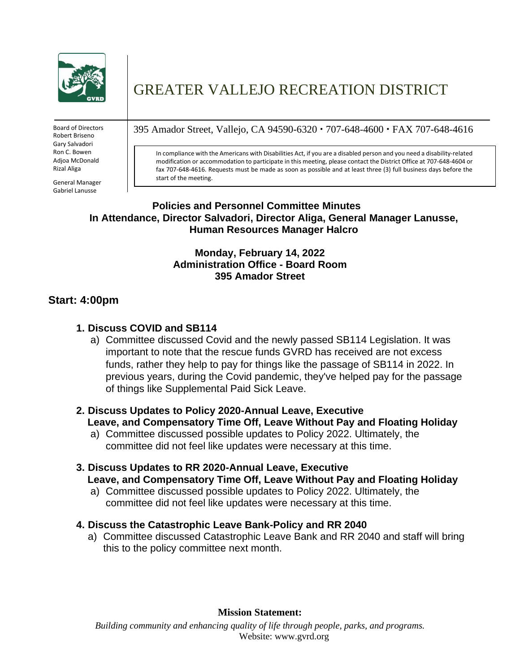

Board of Directors Robert Briseno Gary Salvadori Ron C. Bowen Adjoa McDonald Rizal Aliga

**Policies and** Gabriel Lanusse General Manager

# GREATER VALLEJO RECREATION DISTRICT

395 Amador Street, Vallejo, CA 94590-6320 707-648-4600 FAX 707-648-4616

In compliance with the Americans with Disabilities Act, if you are a disabled person and you need a disability-related modification or accommodation to participate in this meeting, please contact the District Office at 707-648-4604 or fax 707-648-4616. Requests must be made as soon as possible and at least three (3) full business days before the start of the meeting.

## **Policies and Personnel Committee Minutes In Attendance, Director Salvadori, Director Aliga, General Manager Lanusse, Human Resources Manager Halcro**

## **Monday, February 14, 2022 Administration Office - Board Room 395 Amador Street**

## **Start: 4:00pm**

## **1. Discuss COVID and SB114**

a) Committee discussed Covid and the newly passed SB114 Legislation. It was important to note that the rescue funds GVRD has received are not excess funds, rather they help to pay for things like the passage of SB114 in 2022. In previous years, during the Covid pandemic, they've helped pay for the passage of things like Supplemental Paid Sick Leave.

#### **2. Discuss Updates to Policy 2020-Annual Leave, Executive Leave, and Compensatory Time Off, Leave Without Pay and Floating Holiday**

a) Committee discussed possible updates to Policy 2022. Ultimately, the committee did not feel like updates were necessary at this time.

## **3. Discuss Updates to RR 2020-Annual Leave, Executive Leave, and Compensatory Time Off, Leave Without Pay and Floating Holiday**

a) Committee discussed possible updates to Policy 2022. Ultimately, the committee did not feel like updates were necessary at this time.

#### **4. Discuss the Catastrophic Leave Bank-Policy and RR 2040**

a) Committee discussed Catastrophic Leave Bank and RR 2040 and staff will bring this to the policy committee next month.

**Mission Statement:**

*Building community and enhancing quality of life through people, parks, and programs.* Website: [www.gvrd.org](http://www.gvrd.org/)